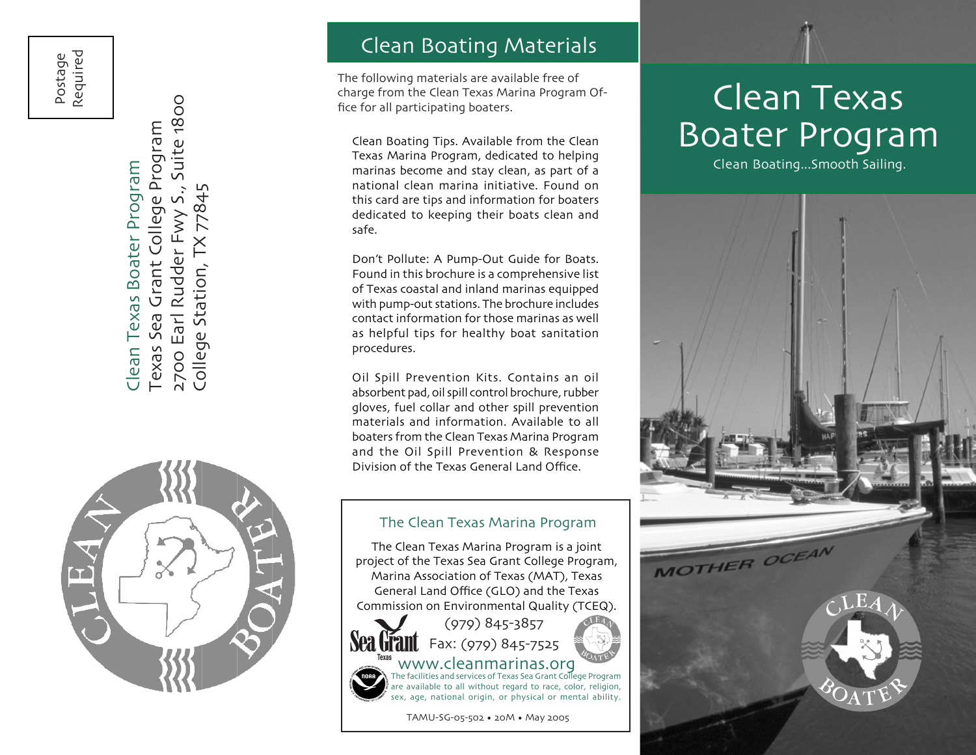Postage Required

Suite 1800 2700 Earl Rudder Fwy S., Suite 1800 Grant College Program Texas Sea Grant College Program Clean Texas Boater Program Clean Texas Boater Program 77845  $\overline{S}$ 2700 Earl Rudder Fwy College Station, Sea Texas

College Station, TX 77845



#### Clean Boating Materials

The following materials are available free of charge from the Clean Texas Marina Program Of fice for all participating boaters.

Clean Boating Tips. Available from the Clean Texas Marina Program, dedicated to helping marinas become and stay clean, as part of a national clean marina initiative. Found on this card are tips and information for boaters dedicated to keeping their boats clean and safe.

Don't Pollute: A Pump-Out Guide for Boats. Found in this brochure is a comprehensive list of Texas coastal and inland marinas equipped with pump-out stations. The brochure includes contact information for those marinas as well as helpful tips for healthy boat sanitation procedures.

Oil Spill Prevention Kits. Contains an oil absorbent pad, oil spill control brochure, rubber gloves, fuel collar and other spill prevention materials and information. Available to all boaters from the Clean Texas Marina Program and the Oil Spill Prevention & Response Division of the Texas General Land Office.

#### The Clean Texas Marina Program

The Clean Texas Marina Program is a joint project of the Texas Sea Grant College Program, Marina Association of Texas (MAT), Texas General Land Office (GLO) and the Texas Commission on Environmental Quality (TCEQ).



### (979) 845-3857 Fax: (979) 845-7525



TAMU-SG-05-502 • 20M • May 2005

# Clean Texas Boater Program

Clean Boating...Smooth Sailing.